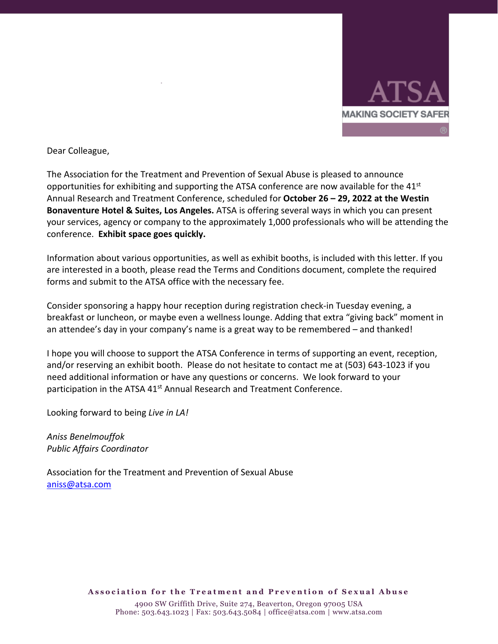

Dear Colleague,

The Association for the Treatment and Prevention of Sexual Abuse is pleased to announce opportunities for exhibiting and supporting the ATSA conference are now available for the  $41<sup>st</sup>$ Annual Research and Treatment Conference, scheduled for **October 26 – 29, 2022 at the Westin Bonaventure Hotel & Suites, Los Angeles.** ATSA is offering several ways in which you can present your services, agency or company to the approximately 1,000 professionals who will be attending the conference. **Exhibit space goes quickly.**

Information about various opportunities, as well as exhibit booths, is included with this letter. If you are interested in a booth, please read the Terms and Conditions document, complete the required forms and submit to the ATSA office with the necessary fee.

Consider sponsoring a happy hour reception during registration check-in Tuesday evening, a breakfast or luncheon, or maybe even a wellness lounge. Adding that extra "giving back" moment in an attendee's day in your company's name is a great way to be remembered – and thanked!

I hope you will choose to support the ATSA Conference in terms of supporting an event, reception, and/or reserving an exhibit booth. Please do not hesitate to contact me at (503) 643-1023 if you need additional information or have any questions or concerns. We look forward to your participation in the ATSA 41<sup>st</sup> Annual Research and Treatment Conference.

Looking forward to being *Live in LA!*

*Aniss Benelmouffok Public Affairs Coordinator*

Association for the Treatment and Prevention of Sexual Abuse [aniss@atsa.com](mailto:aniss@atsa.com)

**Association for the Treatment and Prevention of Sexual Abuse**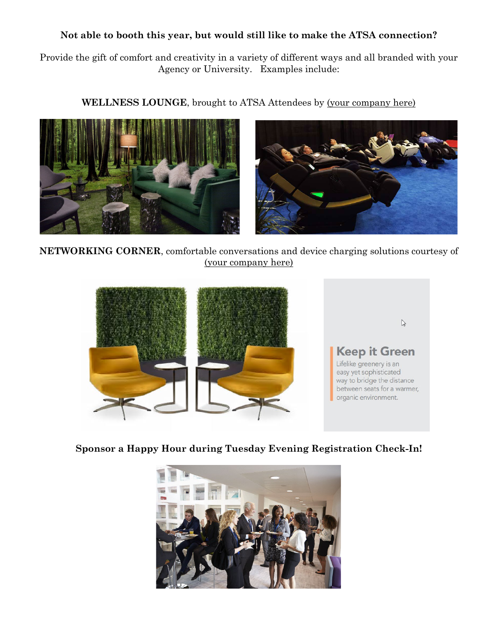#### **Not able to booth this year, but would still like to make the ATSA connection?**

Provide the gift of comfort and creativity in a variety of different ways and all branded with your Agency or University. Examples include:

**WELLNESS LOUNGE**, brought to ATSA Attendees by (your company here)



**NETWORKING CORNER**, comfortable conversations and device charging solutions courtesy of (your company here)



**Sponsor a Happy Hour during Tuesday Evening Registration Check-In!**

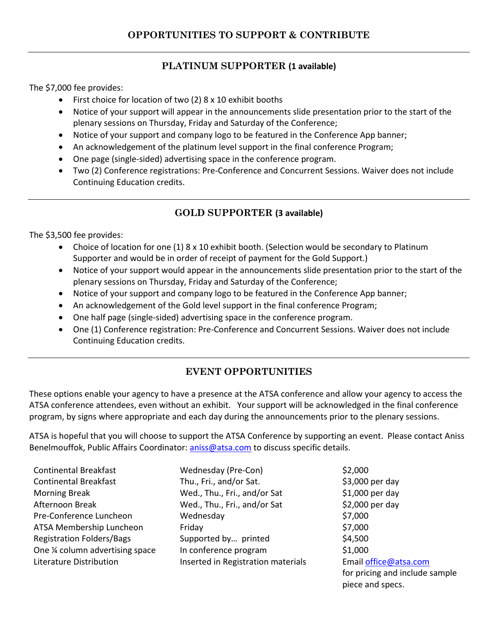# **PLATINUM SUPPORTER (1 available)**

The \$7,000 fee provides:

- First choice for location of two (2) 8 x 10 exhibit booths
- Notice of your support will appear in the announcements slide presentation prior to the start of the plenary sessions on Thursday, Friday and Saturday of the Conference;
- Notice of your support and company logo to be featured in the Conference App banner;
- An acknowledgement of the platinum level support in the final conference Program;
- One page (single-sided) advertising space in the conference program.
- Two (2) Conference registrations: Pre-Conference and Concurrent Sessions. Waiver does not include Continuing Education credits.

## **GOLD SUPPORTER (3 available)**

The \$3,500 fee provides:

- Choice of location for one (1) 8 x 10 exhibit booth. (Selection would be secondary to Platinum Supporter and would be in order of receipt of payment for the Gold Support.)
- Notice of your support would appear in the announcements slide presentation prior to the start of the plenary sessions on Thursday, Friday and Saturday of the Conference;
- Notice of your support and company logo to be featured in the Conference App banner;
- An acknowledgement of the Gold level support in the final conference Program;
- One half page (single-sided) advertising space in the conference program.
- One (1) Conference registration: Pre-Conference and Concurrent Sessions. Waiver does not include Continuing Education credits.

# **EVENT OPPORTUNITIES**

These options enable your agency to have a presence at the ATSA conference and allow your agency to access the ATSA conference attendees, even without an exhibit. Your support will be acknowledged in the final conference program, by signs where appropriate and each day during the announcements prior to the plenary sessions.

ATSA is hopeful that you will choose to support the ATSA Conference by supporting an event. Please contact Aniss Benelmouffok, Public Affairs Coordinator: [aniss@atsa.com](mailto:aniss@atsa.com) to discuss specific details.

| <b>Continental Breakfast</b>     | Wednesday (Pre-Con)                | \$2,000                        |
|----------------------------------|------------------------------------|--------------------------------|
| <b>Continental Breakfast</b>     | Thu., Fri., and/or Sat.            | \$3,000 per day                |
| <b>Morning Break</b>             | Wed., Thu., Fri., and/or Sat       | $$1,000$ per day               |
| Afternoon Break                  | Wed., Thu., Fri., and/or Sat       | \$2,000 per day                |
| Pre-Conference Luncheon          | Wednesday                          | \$7,000                        |
| ATSA Membership Luncheon         | Friday                             | \$7,000                        |
| <b>Registration Folders/Bags</b> | Supported by printed               | \$4,500                        |
| One % column advertising space   | In conference program              | \$1,000                        |
| Literature Distribution          | Inserted in Registration materials | Email office@atsa.com          |
|                                  |                                    | for pricing and include sample |

piece and specs.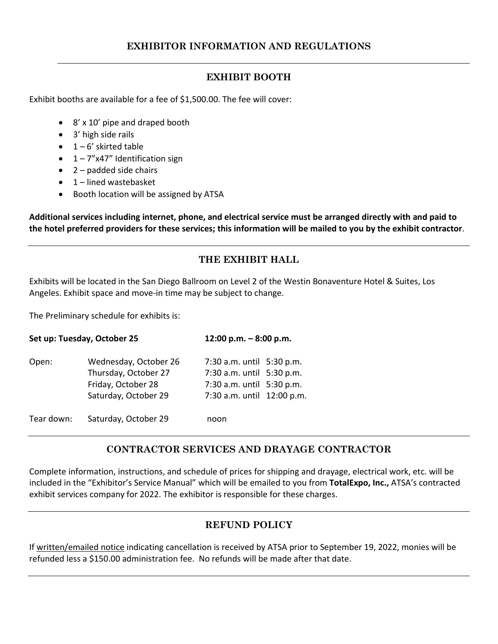#### **EXHIBIT BOOTH**

Exhibit booths are available for a fee of \$1,500.00. The fee will cover:

- 8' x 10' pipe and draped booth
- 3' high side rails
- $\bullet$  1 6' skirted table
- $\bullet$  1 7"x47" Identification sign
- $\bullet$  2 padded side chairs
- $\bullet$  1 lined wastebasket
- Booth location will be assigned by ATSA

**Additional services including internet, phone, and electrical service must be arranged directly with and paid to the hotel preferred providers for these services; this information will be mailed to you by the exhibit contractor**.

## **THE EXHIBIT HALL**

Exhibits will be located in the San Diego Ballroom on Level 2 of the Westin Bonaventure Hotel & Suites, Los Angeles. Exhibit space and move-in time may be subject to change.

The Preliminary schedule for exhibits is:

| Set up: Tuesday, October 25 |                                                                                             |                                                                                                                   | 12:00 p.m. $-8:00$ p.m. |  |
|-----------------------------|---------------------------------------------------------------------------------------------|-------------------------------------------------------------------------------------------------------------------|-------------------------|--|
| Open:                       | Wednesday, October 26<br>Thursday, October 27<br>Friday, October 28<br>Saturday, October 29 | 7:30 a.m. until 5:30 p.m.<br>7:30 a.m. until 5:30 p.m.<br>7:30 a.m. until 5:30 p.m.<br>7:30 a.m. until 12:00 p.m. |                         |  |
| Tear down:                  | Saturday, October 29                                                                        | noon                                                                                                              |                         |  |

## **CONTRACTOR SERVICES AND DRAYAGE CONTRACTOR**

Complete information, instructions, and schedule of prices for shipping and drayage, electrical work, etc. will be included in the "Exhibitor's Service Manual" which will be emailed to you from **TotalExpo, Inc.,** ATSA's contracted exhibit services company for 2022. The exhibitor is responsible for these charges.

## **REFUND POLICY**

If written/emailed notice indicating cancellation is received by ATSA prior to September 19, 2022, monies will be refunded less a \$150.00 administration fee. No refunds will be made after that date.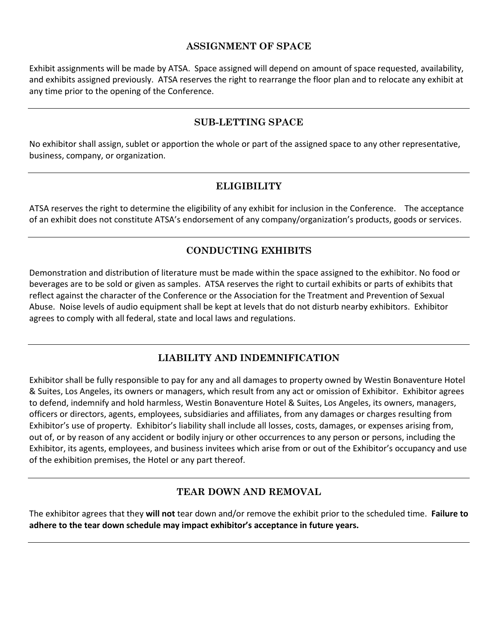#### **ASSIGNMENT OF SPACE**

Exhibit assignments will be made by ATSA. Space assigned will depend on amount of space requested, availability, and exhibits assigned previously. ATSA reserves the right to rearrange the floor plan and to relocate any exhibit at any time prior to the opening of the Conference.

#### **SUB-LETTING SPACE**

No exhibitor shall assign, sublet or apportion the whole or part of the assigned space to any other representative, business, company, or organization.

#### **ELIGIBILITY**

ATSA reserves the right to determine the eligibility of any exhibit for inclusion in the Conference. The acceptance of an exhibit does not constitute ATSA's endorsement of any company/organization's products, goods or services.

## **CONDUCTING EXHIBITS**

Demonstration and distribution of literature must be made within the space assigned to the exhibitor. No food or beverages are to be sold or given as samples. ATSA reserves the right to curtail exhibits or parts of exhibits that reflect against the character of the Conference or the Association for the Treatment and Prevention of Sexual Abuse. Noise levels of audio equipment shall be kept at levels that do not disturb nearby exhibitors. Exhibitor agrees to comply with all federal, state and local laws and regulations.

## **LIABILITY AND INDEMNIFICATION**

Exhibitor shall be fully responsible to pay for any and all damages to property owned by Westin Bonaventure Hotel & Suites, Los Angeles, its owners or managers, which result from any act or omission of Exhibitor. Exhibitor agrees to defend, indemnify and hold harmless, Westin Bonaventure Hotel & Suites, Los Angeles, its owners, managers, officers or directors, agents, employees, subsidiaries and affiliates, from any damages or charges resulting from Exhibitor's use of property. Exhibitor's liability shall include all losses, costs, damages, or expenses arising from, out of, or by reason of any accident or bodily injury or other occurrences to any person or persons, including the Exhibitor, its agents, employees, and business invitees which arise from or out of the Exhibitor's occupancy and use of the exhibition premises, the Hotel or any part thereof.

## **TEAR DOWN AND REMOVAL**

The exhibitor agrees that they **will not** tear down and/or remove the exhibit prior to the scheduled time. **Failure to adhere to the tear down schedule may impact exhibitor's acceptance in future years.**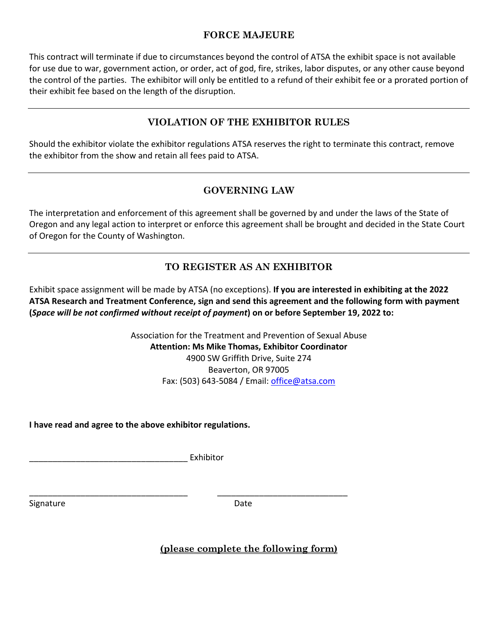#### **FORCE MAJEURE**

This contract will terminate if due to circumstances beyond the control of ATSA the exhibit space is not available for use due to war, government action, or order, act of god, fire, strikes, labor disputes, or any other cause beyond the control of the parties. The exhibitor will only be entitled to a refund of their exhibit fee or a prorated portion of their exhibit fee based on the length of the disruption.

## **VIOLATION OF THE EXHIBITOR RULES**

Should the exhibitor violate the exhibitor regulations ATSA reserves the right to terminate this contract, remove the exhibitor from the show and retain all fees paid to ATSA.

## **GOVERNING LAW**

The interpretation and enforcement of this agreement shall be governed by and under the laws of the State of Oregon and any legal action to interpret or enforce this agreement shall be brought and decided in the State Court of Oregon for the County of Washington.

## **TO REGISTER AS AN EXHIBITOR**

Exhibit space assignment will be made by ATSA (no exceptions). **If you are interested in exhibiting at the 2022 ATSA Research and Treatment Conference, sign and send this agreement and the following form with payment (***Space will be not confirmed without receipt of payment***) on or before September 19, 2022 to:**

> Association for the Treatment and Prevention of Sexual Abuse **Attention: Ms Mike Thomas, Exhibitor Coordinator** 4900 SW Griffith Drive, Suite 274 Beaverton, OR 97005 Fax: (503) 643-5084 / Email: [office@atsa.com](mailto:office@atsa.com)

**I have read and agree to the above exhibitor regulations.**

\_\_\_\_\_\_\_\_\_\_\_\_\_\_\_\_\_\_\_\_\_\_\_\_\_\_\_\_\_\_\_\_\_\_ Exhibitor

Signature Date Date

\_\_\_\_\_\_\_\_\_\_\_\_\_\_\_\_\_\_\_\_\_\_\_\_\_\_\_\_\_\_\_\_\_\_ \_\_\_\_\_\_\_\_\_\_\_\_\_\_\_\_\_\_\_\_\_\_\_\_\_\_\_\_

**(please complete the following form)**